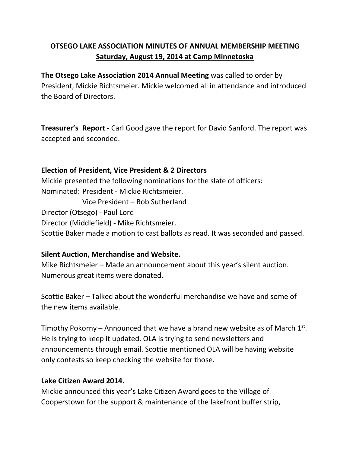# **OTSEGO LAKE ASSOCIATION MINUTES OF ANNUAL MEMBERSHIP MEETING Saturday, August 19, 2014 at Camp Minnetoska**

**The Otsego Lake Association 2014 Annual Meeting** was called to order by President, Mickie Richtsmeier. Mickie welcomed all in attendance and introduced the Board of Directors.

**Treasurer's Report** - Carl Good gave the report for David Sanford. The report was accepted and seconded.

#### **Election of President, Vice President & 2 Directors**

Mickie presented the following nominations for the slate of officers: Nominated: President - Mickie Richtsmeier. Vice President – Bob Sutherland Director (Otsego) - Paul Lord Director (Middlefield) - Mike Richtsmeier. Scottie Baker made a motion to cast ballots as read. It was seconded and passed.

### **Silent Auction, Merchandise and Website.**

Mike Richtsmeier – Made an announcement about this year's silent auction. Numerous great items were donated.

Scottie Baker – Talked about the wonderful merchandise we have and some of the new items available.

Timothy Pokorny – Announced that we have a brand new website as of March  $1<sup>st</sup>$ . He is trying to keep it updated. OLA is trying to send newsletters and announcements through email. Scottie mentioned OLA will be having website only contests so keep checking the website for those.

#### **Lake Citizen Award 2014.**

Mickie announced this year's Lake Citizen Award goes to the Village of Cooperstown for the support & maintenance of the lakefront buffer strip,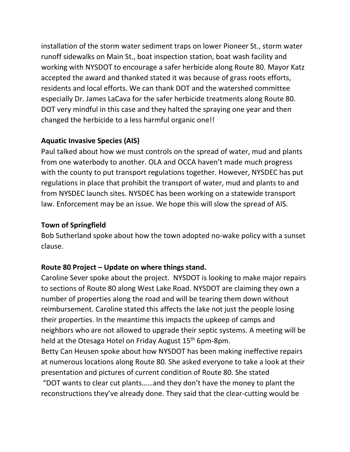installation of the storm water sediment traps on lower Pioneer St., storm water runoff sidewalks on Main St., boat inspection station, boat wash facility and working with NYSDOT to encourage a safer herbicide along Route 80. Mayor Katz accepted the award and thanked stated it was because of grass roots efforts, residents and local efforts. We can thank DOT and the watershed committee especially Dr. James LaCava for the safer herbicide treatments along Route 80. DOT very mindful in this case and they halted the spraying one year and then changed the herbicide to a less harmful organic one!!

## **Aquatic Invasive Species (AIS)**

Paul talked about how we must controls on the spread of water, mud and plants from one waterbody to another. OLA and OCCA haven't made much progress with the county to put transport regulations together. However, NYSDEC has put regulations in place that prohibit the transport of water, mud and plants to and from NYSDEC launch sites. NYSDEC has been working on a statewide transport law. Enforcement may be an issue. We hope this will slow the spread of AIS.

## **Town of Springfield**

Bob Sutherland spoke about how the town adopted no-wake policy with a sunset clause.

# **Route 80 Project – Update on where things stand.**

Caroline Sever spoke about the project. NYSDOT is looking to make major repairs to sections of Route 80 along West Lake Road. NYSDOT are claiming they own a number of properties along the road and will be tearing them down without reimbursement. Caroline stated this affects the lake not just the people losing their properties. In the meantime this impacts the upkeep of camps and neighbors who are not allowed to upgrade their septic systems. A meeting will be held at the Otesaga Hotel on Friday August 15<sup>th</sup> 6pm-8pm.

Betty Can Heusen spoke about how NYSDOT has been making ineffective repairs at numerous locations along Route 80. She asked everyone to take a look at their presentation and pictures of current condition of Route 80. She stated

"DOT wants to clear cut plants……and they don't have the money to plant the reconstructions they've already done. They said that the clear-cutting would be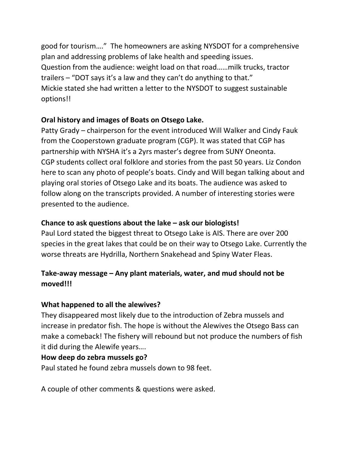good for tourism…." The homeowners are asking NYSDOT for a comprehensive plan and addressing problems of lake health and speeding issues. Question from the audience: weight load on that road……milk trucks, tractor trailers – "DOT says it's a law and they can't do anything to that." Mickie stated she had written a letter to the NYSDOT to suggest sustainable options!!

## **Oral history and images of Boats on Otsego Lake.**

Patty Grady – chairperson for the event introduced Will Walker and Cindy Fauk from the Cooperstown graduate program (CGP). It was stated that CGP has partnership with NYSHA it's a 2yrs master's degree from SUNY Oneonta. CGP students collect oral folklore and stories from the past 50 years. Liz Condon here to scan any photo of people's boats. Cindy and Will began talking about and playing oral stories of Otsego Lake and its boats. The audience was asked to follow along on the transcripts provided. A number of interesting stories were presented to the audience.

## **Chance to ask questions about the lake – ask our biologists!**

Paul Lord stated the biggest threat to Otsego Lake is AIS. There are over 200 species in the great lakes that could be on their way to Otsego Lake. Currently the worse threats are Hydrilla, Northern Snakehead and Spiny Water Fleas.

# **Take-away message – Any plant materials, water, and mud should not be moved!!!**

### **What happened to all the alewives?**

They disappeared most likely due to the introduction of Zebra mussels and increase in predator fish. The hope is without the Alewives the Otsego Bass can make a comeback! The fishery will rebound but not produce the numbers of fish it did during the Alewife years….

### **How deep do zebra mussels go?**

Paul stated he found zebra mussels down to 98 feet.

A couple of other comments & questions were asked.